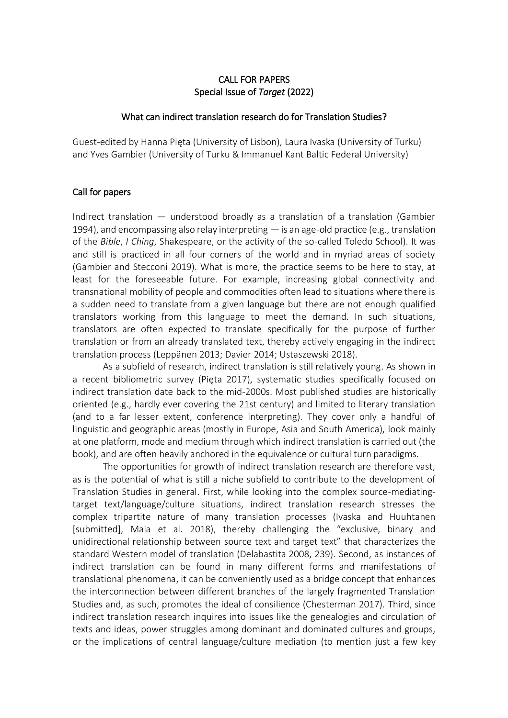# CALL FOR PAPERS Special Issue of *Target* (2022)

## What can indirect translation research do for Translation Studies?

Guest-edited by Hanna Pięta (University of Lisbon), Laura Ivaska (University of Turku) and Yves Gambier (University of Turku & Immanuel Kant Baltic Federal University)

# Call for papers

Indirect translation — understood broadly as a translation of a translation (Gambier 1994), and encompassing also relay interpreting — is an age-old practice (e.g., translation of the *Bible*, *I Ching*, Shakespeare, or the activity of the so-called Toledo School). It was and still is practiced in all four corners of the world and in myriad areas of society (Gambier and Stecconi 2019). What is more, the practice seems to be here to stay, at least for the foreseeable future. For example, increasing global connectivity and transnational mobility of people and commodities often lead to situations where there is a sudden need to translate from a given language but there are not enough qualified translators working from this language to meet the demand. In such situations, translators are often expected to translate specifically for the purpose of further translation or from an already translated text, thereby actively engaging in the indirect translation process (Leppänen 2013; Davier 2014; Ustaszewski 2018).

As a subfield of research, indirect translation is still relatively young. As shown in a recent bibliometric survey (Pięta 2017), systematic studies specifically focused on indirect translation date back to the mid-2000s. Most published studies are historically oriented (e.g., hardly ever covering the 21st century) and limited to literary translation (and to a far lesser extent, conference interpreting). They cover only a handful of linguistic and geographic areas (mostly in Europe, Asia and South America), look mainly at one platform, mode and medium through which indirect translation is carried out (the book), and are often heavily anchored in the equivalence or cultural turn paradigms.

The opportunities for growth of indirect translation research are therefore vast, as is the potential of what is still a niche subfield to contribute to the development of Translation Studies in general. First, while looking into the complex source-mediatingtarget text/language/culture situations, indirect translation research stresses the complex tripartite nature of many translation processes (Ivaska and Huuhtanen [submitted], Maia et al. 2018), thereby challenging the "exclusive, binary and unidirectional relationship between source text and target text" that characterizes the standard Western model of translation (Delabastita 2008, 239). Second, as instances of indirect translation can be found in many different forms and manifestations of translational phenomena, it can be conveniently used as a bridge concept that enhances the interconnection between different branches of the largely fragmented Translation Studies and, as such, promotes the ideal of consilience (Chesterman 2017). Third, since indirect translation research inquires into issues like the genealogies and circulation of texts and ideas, power struggles among dominant and dominated cultures and groups, or the implications of central language/culture mediation (to mention just a few key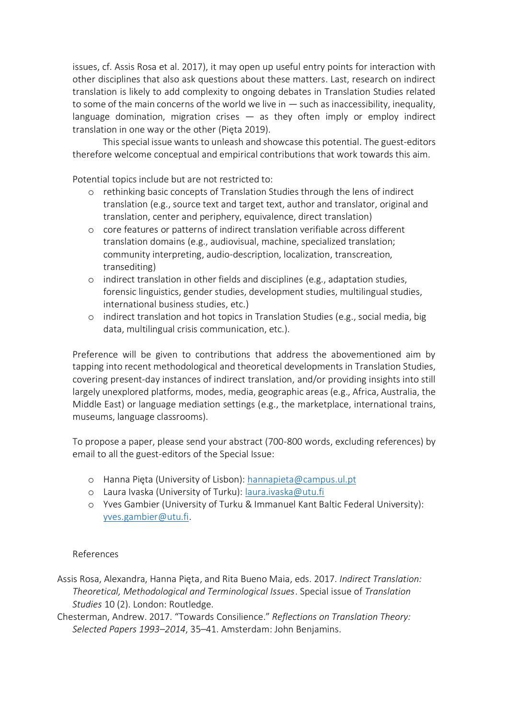issues, cf. Assis Rosa et al. 2017), it may open up useful entry points for interaction with other disciplines that also ask questions about these matters. Last, research on indirect translation is likely to add complexity to ongoing debates in Translation Studies related to some of the main concerns of the world we live in  $-$  such as inaccessibility, inequality, language domination, migration crises  $-$  as they often imply or employ indirect translation in one way or the other (Pięta 2019).

This special issue wants to unleash and showcase this potential. The guest-editors therefore welcome conceptual and empirical contributions that work towards this aim.

Potential topics include but are not restricted to:

- o rethinking basic concepts of Translation Studies through the lens of indirect translation (e.g., source text and target text, author and translator, original and translation, center and periphery, equivalence, direct translation)
- o core features or patterns of indirect translation verifiable across different translation domains (e.g., audiovisual, machine, specialized translation; community interpreting, audio-description, localization, transcreation, transediting)
- o indirect translation in other fields and disciplines (e.g., adaptation studies, forensic linguistics, gender studies, development studies, multilingual studies, international business studies, etc.)
- o indirect translation and hot topics in Translation Studies (e.g., social media, big data, multilingual crisis communication, etc.).

Preference will be given to contributions that address the abovementioned aim by tapping into recent methodological and theoretical developments in Translation Studies, covering present-day instances of indirect translation, and/or providing insights into still largely unexplored platforms, modes, media, geographic areas (e.g., Africa, Australia, the Middle East) or language mediation settings (e.g., the marketplace, international trains, museums, language classrooms).

To propose a paper, please send your abstract (700-800 words, excluding references) by email to all the guest-editors of the Special Issue:

- o Hanna Pięta (University of Lisbon): [hannapieta@campus.ul.pt](mailto:hannapieta@campus.ul.pt)
- o Laura Ivaska (University of Turku): [laura.ivaska@utu.fi](mailto:laura.ivaska@utu.fi)
- o Yves Gambier (University of Turku & Immanuel Kant Baltic Federal University): [yves.gambier@utu.fi.](mailto:yves.gambier@utu.fi)

# References

Assis Rosa, Alexandra, Hanna Pięta, and Rita Bueno Maia, eds. 2017. *Indirect Translation: Theoretical, Methodological and Terminological Issues*. Special issue of *Translation Studies* 10 (2). London: Routledge.

Chesterman, Andrew. 2017. "Towards Consilience." *Reflections on Translation Theory: Selected Papers 1993–2014*, 35–41. Amsterdam: John Benjamins.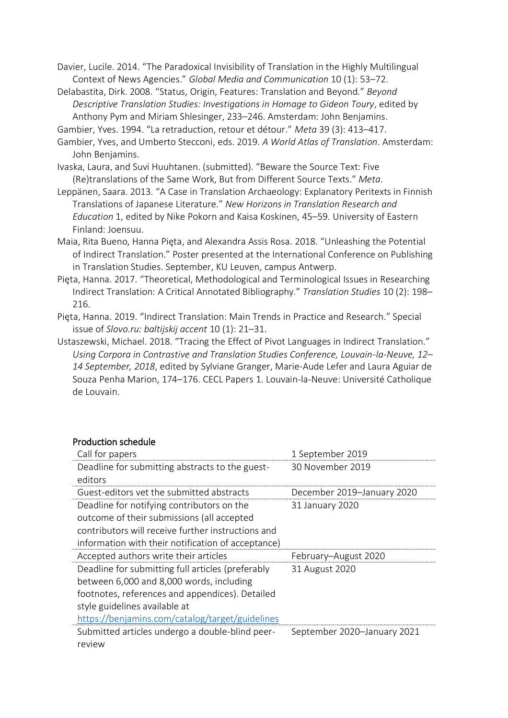Davier, Lucile. 2014. "The Paradoxical Invisibility of Translation in the Highly Multilingual Context of News Agencies." *Global Media and Communication* 10 (1): 53–72.

Delabastita, Dirk. 2008. "Status, Origin, Features: Translation and Beyond." *Beyond Descriptive Translation Studies: Investigations in Homage to Gideon Toury*, edited by Anthony Pym and Miriam Shlesinger, 233–246. Amsterdam: John Benjamins.

Gambier, Yves. 1994. "La retraduction, retour et détour." *Meta* 39 (3): 413–417.

Gambier, Yves, and Umberto Stecconi, eds. 2019. *A World Atlas of Translation*. Amsterdam: John Benjamins.

- Ivaska, Laura, and Suvi Huuhtanen. (submitted). "Beware the Source Text: Five (Re)translations of the Same Work, But from Different Source Texts." *Meta*.
- Leppänen, Saara. 2013. "A Case in Translation Archaeology: Explanatory Peritexts in Finnish Translations of Japanese Literature." *New Horizons in Translation Research and Education* 1, edited by Nike Pokorn and Kaisa Koskinen, 45–59. University of Eastern Finland: Joensuu.
- Maia, Rita Bueno, Hanna Pięta, and Alexandra Assis Rosa. 2018. "Unleashing the Potential of Indirect Translation." Poster presented at the International Conference on Publishing in Translation Studies. September, KU Leuven, campus Antwerp.
- Pięta, Hanna. 2017. "Theoretical, Methodological and Terminological Issues in Researching Indirect Translation: A Critical Annotated Bibliography." *Translation Studies* 10 (2): 198– 216.

Pięta, Hanna. 2019. "Indirect Translation: Main Trends in Practice and Research." Special issue of *Slovo.ru: baltijskij accent* 10 (1): 21–31.

Ustaszewski, Michael. 2018. "Tracing the Effect of Pivot Languages in Indirect Translation." *Using Corpora in Contrastive and Translation Studies Conference, Louvain-la-Neuve, 12– 14 September, 2018*, edited by Sylviane Granger, Marie-Aude Lefer and Laura Aguiar de Souza Penha Marion, 174–176. CECL Papers 1. Louvain-la-Neuve: Université Catholique de Louvain.

| , , ouuchon scheudic                                                                                                                                                                                                                 |                             |
|--------------------------------------------------------------------------------------------------------------------------------------------------------------------------------------------------------------------------------------|-----------------------------|
| Call for papers                                                                                                                                                                                                                      | 1 September 2019            |
| Deadline for submitting abstracts to the guest-<br>editors                                                                                                                                                                           | 30 November 2019            |
| Guest-editors vet the submitted abstracts                                                                                                                                                                                            | December 2019-January 2020  |
| Deadline for notifying contributors on the<br>outcome of their submissions (all accepted<br>contributors will receive further instructions and<br>information with their notification of acceptance)                                 | 31 January 2020             |
| Accepted authors write their articles                                                                                                                                                                                                | February-August 2020        |
| Deadline for submitting full articles (preferably<br>between 6,000 and 8,000 words, including<br>footnotes, references and appendices). Detailed<br>style guidelines available at<br>https://benjamins.com/catalog/target/guidelines | 31 August 2020              |
| Submitted articles undergo a double-blind peer-<br>review                                                                                                                                                                            | September 2020-January 2021 |

## Production schedule